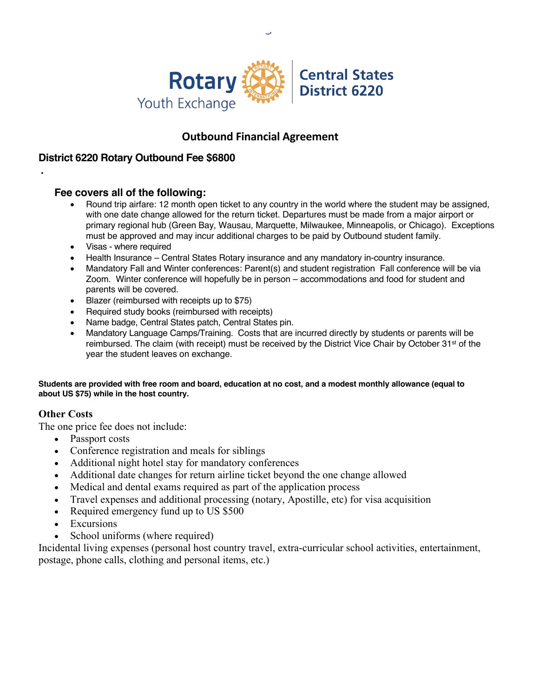

# **Outbound Financial Agreement**

## **District 6220 Rotary Outbound Fee \$6800**

### **Fee covers all of the following:**

- Round trip airfare: 12 month open ticket to any country in the world where the student may be assigned, with one date change allowed for the return ticket. Departures must be made from a major airport or primary regional hub (Green Bay, Wausau, Marquette, Milwaukee, Minneapolis, or Chicago). Exceptions must be approved and may incur additional charges to be paid by Outbound student family.
- Visas where required
- Health Insurance Central States Rotary insurance and any mandatory in-country insurance.
- Mandatory Fall and Winter conferences: Parent(s) and student registration Fall conference will be via Zoom. Winter conference will hopefully be in person – accommodations and food for student and parents will be covered.
- Blazer (reimbursed with receipts up to \$75)
- Required study books (reimbursed with receipts)
- Name badge, Central States patch, Central States pin.
- Mandatory Language Camps/Training. Costs that are incurred directly by students or parents will be reimbursed. The claim (with receipt) must be received by the District Vice Chair by October 31<sup>st</sup> of the year the student leaves on exchange.

#### **Students are provided with free room and board, education at no cost, and a modest monthly allowance (equal to about US \$75) while in the host country.**

## **Other Costs**

**.** 

The one price fee does not include:

- Passport costs
- Conference registration and meals for siblings
- Additional night hotel stay for mandatory conferences
- Additional date changes for return airline ticket beyond the one change allowed
- Medical and dental exams required as part of the application process
- Travel expenses and additional processing (notary, Apostille, etc) for visa acquisition
- Required emergency fund up to US \$500
- **Excursions**
- School uniforms (where required)

Incidental living expenses (personal host country travel, extra-curricular school activities, entertainment, postage, phone calls, clothing and personal items, etc.)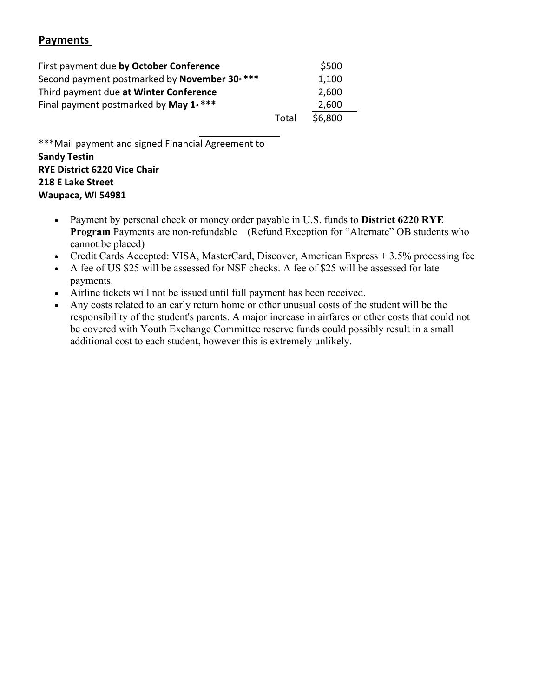## **Payments**

| First payment due by October Conference                    |       | \$500   |
|------------------------------------------------------------|-------|---------|
| Second payment postmarked by November 30 <sup>th</sup> *** |       | 1,100   |
| Third payment due at Winter Conference                     |       | 2,600   |
| Final payment postmarked by May $1$ <sup>****</sup>        |       | 2,600   |
|                                                            | Total | \$6.800 |

\*\*\*Mail payment and signed Financial Agreement to **Sandy Testin RYE District 6220 Vice Chair 218 E Lake Street Waupaca, WI 54981**

- Payment by personal check or money order payable in U.S. funds to **District 6220 RYE Program** Payments are non-refundable (Refund Exception for "Alternate" OB students who cannot be placed)
- Credit Cards Accepted: VISA, MasterCard, Discover, American Express + 3.5% processing fee
- A fee of US \$25 will be assessed for NSF checks. A fee of \$25 will be assessed for late payments.
- Airline tickets will not be issued until full payment has been received.
- Any costs related to an early return home or other unusual costs of the student will be the responsibility of the student's parents. A major increase in airfares or other costs that could not be covered with Youth Exchange Committee reserve funds could possibly result in a small additional cost to each student, however this is extremely unlikely.